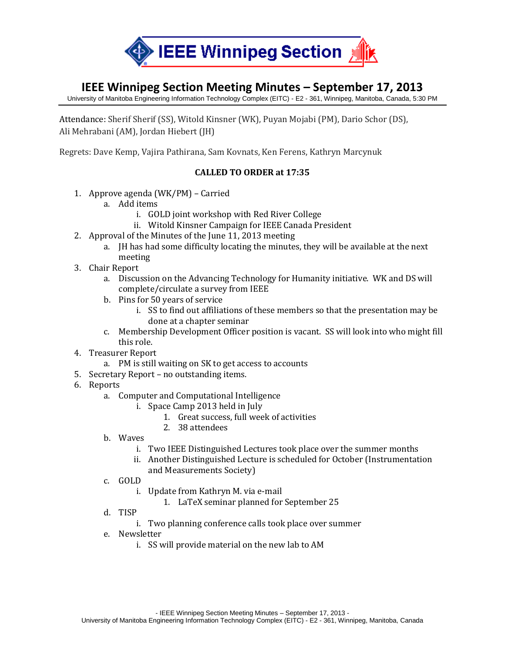

## **IEEE Winnipeg Section Meeting Minutes – September 17, 2013**

University of Manitoba Engineering Information Technology Complex (EITC) - E2 - 361, Winnipeg, Manitoba, Canada, 5:30 PM

Attendance: Sherif Sherif (SS), Witold Kinsner (WK), Puyan Mojabi (PM), Dario Schor (DS), Ali Mehrabani (AM), Jordan Hiebert (JH)

Regrets: Dave Kemp, Vajira Pathirana, Sam Kovnats, Ken Ferens, Kathryn Marcynuk

## **CALLED TO ORDER at 17:35**

- 1. Approve agenda (WK/PM) Carried
	- a. Add items
		- i. GOLD joint workshop with Red River College
		- ii. Witold Kinsner Campaign for IEEE Canada President
- 2. Approval of the Minutes of the June 11, 2013 meeting
	- a. JH has had some difficulty locating the minutes, they will be available at the next meeting
- 3. Chair Report
	- a. Discussion on the Advancing Technology for Humanity initiative. WK and DS will complete/circulate a survey from IEEE
	- b. Pins for 50 years of service
		- i. SS to find out affiliations of these members so that the presentation may be done at a chapter seminar
	- c. Membership Development Officer position is vacant. SS will look into who might fill this role.
- 4. Treasurer Report
	- a. PM is still waiting on SK to get access to accounts
- 5. Secretary Report no outstanding items.
- 6. Reports
	- a. Computer and Computational Intelligence
		- i. Space Camp 2013 held in July
			- 1. Great success, full week of activities
			- 2. 38 attendees
	- b. Waves
		- i. Two IEEE Distinguished Lectures took place over the summer months
		- ii. Another Distinguished Lecture is scheduled for October (Instrumentation and Measurements Society)
	- c. GOLD
		- i. Update from Kathryn M. via e-mail
			- 1. LaTeX seminar planned for September 25
	- d. TISP
		- i. Two planning conference calls took place over summer
	- e. Newsletter
		- i. SS will provide material on the new lab to AM